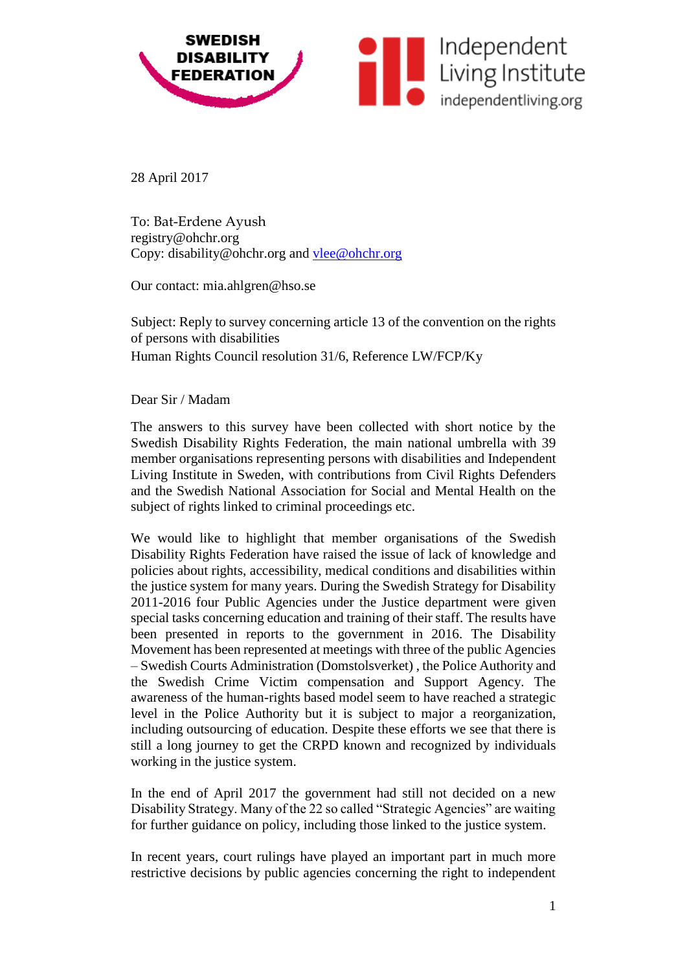

28 April 2017

To: Bat-Erdene Ayush registry@ohchr.org Copy: disability@ohchr.org and [vlee@ohchr.org](mailto:vlee@ohchr.org)

Our contact: mia.ahlgren@hso.se

Subject: Reply to survey concerning article 13 of the convention on the rights of persons with disabilities Human Rights Council resolution 31/6, Reference LW/FCP/Ky

Dear Sir / Madam

The answers to this survey have been collected with short notice by the Swedish Disability Rights Federation, the main national umbrella with 39 member organisations representing persons with disabilities and Independent Living Institute in Sweden, with contributions from Civil Rights Defenders and the Swedish National Association for Social and Mental Health on the subject of rights linked to criminal proceedings etc.

We would like to highlight that member organisations of the Swedish Disability Rights Federation have raised the issue of lack of knowledge and policies about rights, accessibility, medical conditions and disabilities within the justice system for many years. During the Swedish Strategy for Disability 2011-2016 four Public Agencies under the Justice department were given special tasks concerning education and training of their staff. The results have been presented in reports to the government in 2016. The Disability Movement has been represented at meetings with three of the public Agencies – Swedish Courts Administration (Domstolsverket) , the Police Authority and the Swedish Crime Victim compensation and Support Agency. The awareness of the human-rights based model seem to have reached a strategic level in the Police Authority but it is subject to major a reorganization, including outsourcing of education. Despite these efforts we see that there is still a long journey to get the CRPD known and recognized by individuals working in the justice system.

In the end of April 2017 the government had still not decided on a new Disability Strategy. Many of the 22 so called "Strategic Agencies" are waiting for further guidance on policy, including those linked to the justice system.

In recent years, court rulings have played an important part in much more restrictive decisions by public agencies concerning the right to independent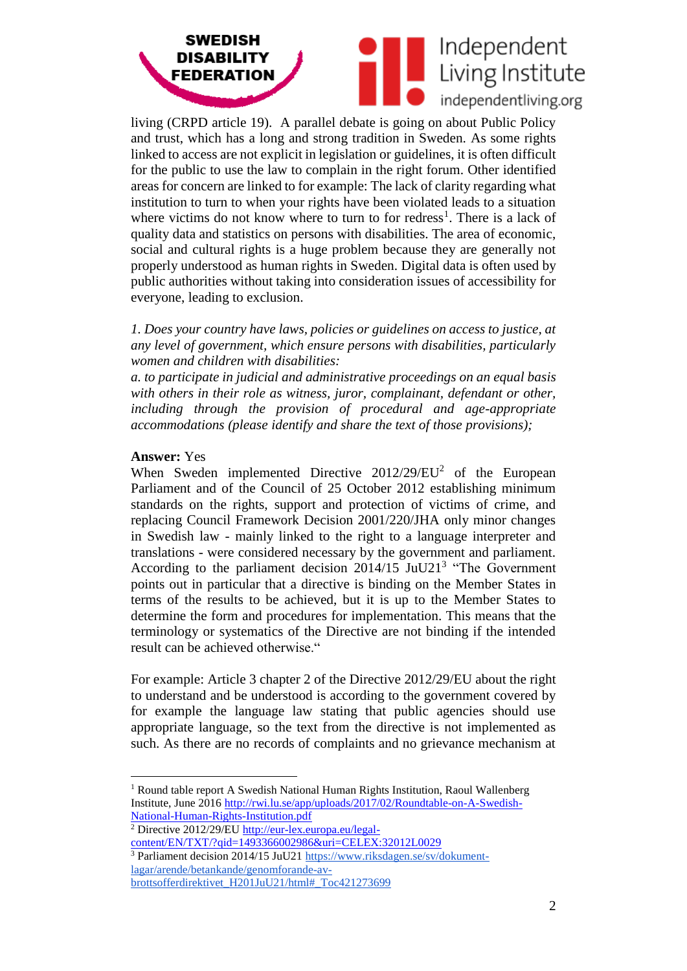



living (CRPD article 19). A parallel debate is going on about Public Policy and trust, which has a long and strong tradition in Sweden. As some rights linked to access are not explicit in legislation or guidelines, it is often difficult for the public to use the law to complain in the right forum. Other identified areas for concern are linked to for example: The lack of clarity regarding what institution to turn to when your rights have been violated leads to a situation where victims do not know where to turn to for redress<sup>1</sup>. There is a lack of quality data and statistics on persons with disabilities. The area of economic, social and cultural rights is a huge problem because they are generally not properly understood as human rights in Sweden. Digital data is often used by public authorities without taking into consideration issues of accessibility for everyone, leading to exclusion.

*1. Does your country have laws, policies or guidelines on access to justice, at any level of government, which ensure persons with disabilities, particularly women and children with disabilities:* 

*a. to participate in judicial and administrative proceedings on an equal basis with others in their role as witness, juror, complainant, defendant or other, including through the provision of procedural and age-appropriate accommodations (please identify and share the text of those provisions);* 

### **Answer:** Yes

 $\overline{a}$ 

When Sweden implemented Directive  $2012/29/EU^2$  of the European Parliament and of the Council of 25 October 2012 establishing minimum standards on the rights, support and protection of victims of crime, and replacing Council Framework Decision 2001/220/JHA only minor changes in Swedish law - mainly linked to the right to a language interpreter and translations - were considered necessary by the government and parliament. According to the parliament decision  $2014/15$  JuU21<sup>3</sup> "The Government points out in particular that a directive is binding on the Member States in terms of the results to be achieved, but it is up to the Member States to determine the form and procedures for implementation. This means that the terminology or systematics of the Directive are not binding if the intended result can be achieved otherwise."

For example: Article 3 chapter 2 of the Directive 2012/29/EU about the right to understand and be understood is according to the government covered by for example the language law stating that public agencies should use appropriate language, so the text from the directive is not implemented as such. As there are no records of complaints and no grievance mechanism at

[lagar/arende/betankande/genomforande-av-](https://www.riksdagen.se/sv/dokument-lagar/arende/betankande/genomforande-av-brottsofferdirektivet_H201JuU21/html#_Toc421273699)

<sup>&</sup>lt;sup>1</sup> Round table report A Swedish National Human Rights Institution, Raoul Wallenberg Institute, June 2016 [http://rwi.lu.se/app/uploads/2017/02/Roundtable-on-A-Swedish-](http://rwi.lu.se/app/uploads/2017/02/Roundtable-on-A-Swedish-National-Human-Rights-Institution.pdf)[National-Human-Rights-Institution.pdf](http://rwi.lu.se/app/uploads/2017/02/Roundtable-on-A-Swedish-National-Human-Rights-Institution.pdf)

<sup>&</sup>lt;sup>2</sup> Directive 2012/29/EU [http://eur-lex.europa.eu/legal](http://eur-lex.europa.eu/legal-content/EN/TXT/?qid=1493366002986&uri=CELEX:32012L0029)[content/EN/TXT/?qid=1493366002986&uri=CELEX:32012L0029](http://eur-lex.europa.eu/legal-content/EN/TXT/?qid=1493366002986&uri=CELEX:32012L0029)

<sup>&</sup>lt;sup>3</sup> Parliament decision 2014/15 JuU2[1 https://www.riksdagen.se/sv/dokument-](https://www.riksdagen.se/sv/dokument-lagar/arende/betankande/genomforande-av-brottsofferdirektivet_H201JuU21/html#_Toc421273699)

[brottsofferdirektivet\\_H201JuU21/html#\\_Toc421273699](https://www.riksdagen.se/sv/dokument-lagar/arende/betankande/genomforande-av-brottsofferdirektivet_H201JuU21/html#_Toc421273699)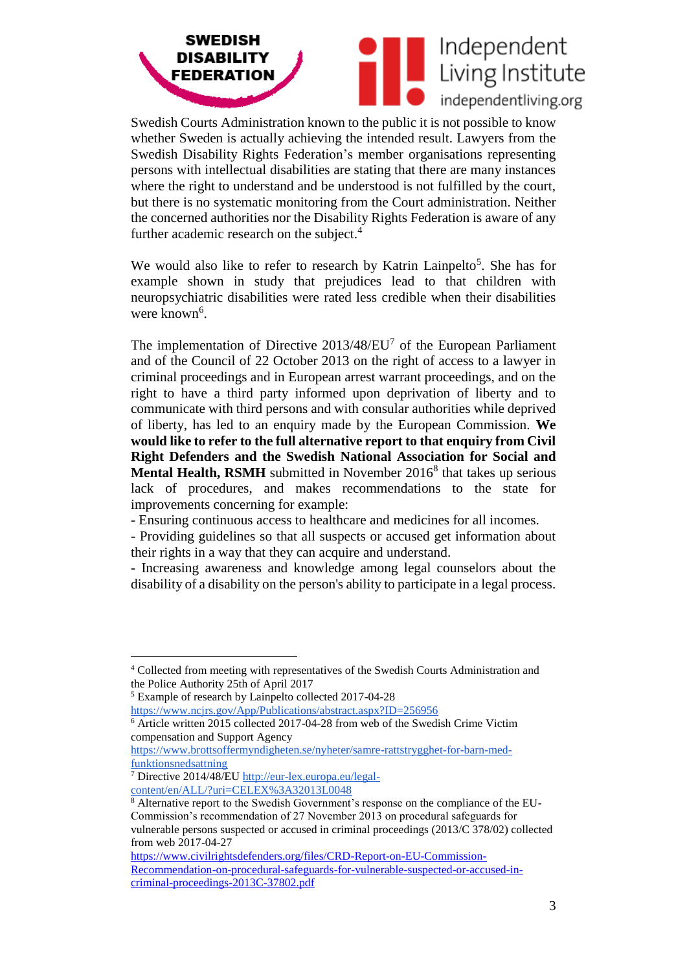



Swedish Courts Administration known to the public it is not possible to know whether Sweden is actually achieving the intended result. Lawyers from the Swedish Disability Rights Federation's member organisations representing persons with intellectual disabilities are stating that there are many instances where the right to understand and be understood is not fulfilled by the court, but there is no systematic monitoring from the Court administration. Neither the concerned authorities nor the Disability Rights Federation is aware of any further academic research on the subject.<sup>4</sup>

We would also like to refer to research by Katrin Lainpelto<sup>5</sup>. She has for example shown in study that prejudices lead to that children with neuropsychiatric disabilities were rated less credible when their disabilities were known<sup>6</sup>.

The implementation of Directive  $2013/48/EU<sup>7</sup>$  of the European Parliament and of the Council of 22 October 2013 on the right of access to a lawyer in criminal proceedings and in European arrest warrant proceedings, and on the right to have a third party informed upon deprivation of liberty and to communicate with third persons and with consular authorities while deprived of liberty, has led to an enquiry made by the European Commission. **We would like to refer to the full alternative report to that enquiry from Civil Right Defenders and the Swedish National Association for Social and Mental Health, RSMH** submitted in November 2016<sup>8</sup> that takes up serious lack of procedures, and makes recommendations to the state for improvements concerning for example:

- Ensuring continuous access to healthcare and medicines for all incomes.
- Providing guidelines so that all suspects or accused get information about their rights in a way that they can acquire and understand.

- Increasing awareness and knowledge among legal counselors about the disability of a disability on the person's ability to participate in a legal process.

 $\overline{a}$ 

<sup>4</sup> Collected from meeting with representatives of the Swedish Courts Administration and the Police Authority 25th of April 2017

<sup>5</sup> Example of research by Lainpelto collected 2017-04-28

<https://www.ncjrs.gov/App/Publications/abstract.aspx?ID=256956> <sup>6</sup> Article written 2015 collected 2017-04-28 from web of the Swedish Crime Victim compensation and Support Agency

[https://www.brottsoffermyndigheten.se/nyheter/samre-rattstrygghet-for-barn-med](https://www.brottsoffermyndigheten.se/nyheter/samre-rattstrygghet-for-barn-med-funktionsnedsattning)[funktionsnedsattning](https://www.brottsoffermyndigheten.se/nyheter/samre-rattstrygghet-for-barn-med-funktionsnedsattning)

<sup>7</sup> Directive 2014/48/EU [http://eur-lex.europa.eu/legal-](http://eur-lex.europa.eu/legal-content/en/ALL/?uri=CELEX%3A32013L0048)

[content/en/ALL/?uri=CELEX%3A32013L0048](http://eur-lex.europa.eu/legal-content/en/ALL/?uri=CELEX%3A32013L0048)

<sup>8</sup> Alternative report to the Swedish Government's response on the compliance of the EU-Commission's recommendation of 27 November 2013 on procedural safeguards for vulnerable persons suspected or accused in criminal proceedings (2013/C 378/02) collected from web 2017-04-27

[https://www.civilrightsdefenders.org/files/CRD-Report-on-EU-Commission-](https://www.civilrightsdefenders.org/files/CRD-Report-on-EU-Commission-Recommendation-on-procedural-safeguards-for-vulnerable-suspected-or-accused-in-criminal-proceedings-2013C-37802.pdf)[Recommendation-on-procedural-safeguards-for-vulnerable-suspected-or-accused-in](https://www.civilrightsdefenders.org/files/CRD-Report-on-EU-Commission-Recommendation-on-procedural-safeguards-for-vulnerable-suspected-or-accused-in-criminal-proceedings-2013C-37802.pdf)[criminal-proceedings-2013C-37802.pdf](https://www.civilrightsdefenders.org/files/CRD-Report-on-EU-Commission-Recommendation-on-procedural-safeguards-for-vulnerable-suspected-or-accused-in-criminal-proceedings-2013C-37802.pdf)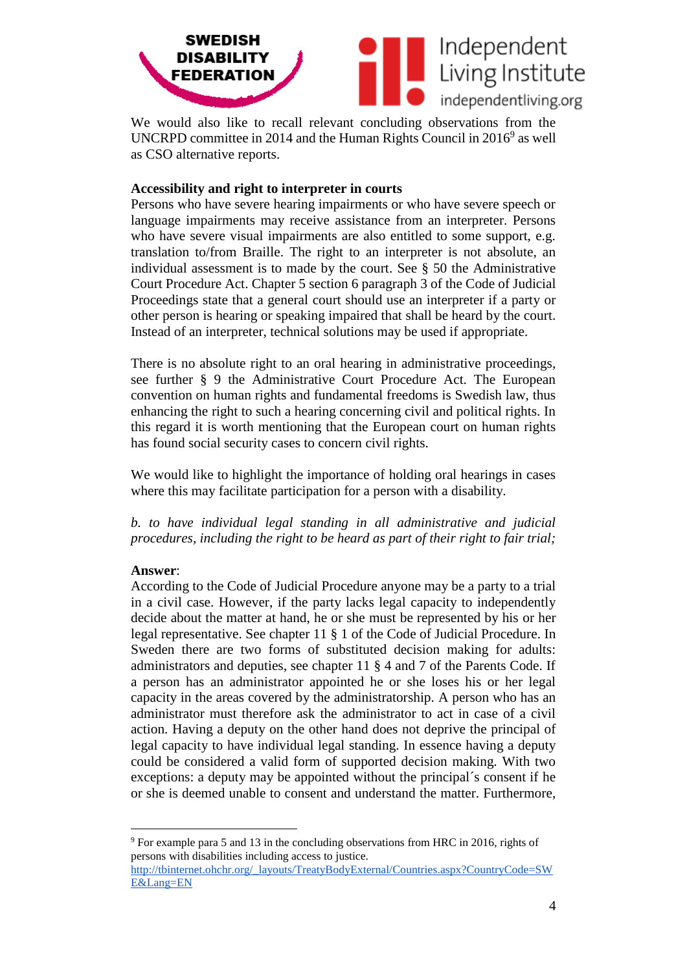

We would also like to recall relevant concluding observations from the UNCRPD committee in 2014 and the Human Rights Council in  $2016^9$  as well as CSO alternative reports.

# **Accessibility and right to interpreter in courts**

Persons who have severe hearing impairments or who have severe speech or language impairments may receive assistance from an interpreter. Persons who have severe visual impairments are also entitled to some support, e.g. translation to/from Braille. The right to an interpreter is not absolute, an individual assessment is to made by the court. See § 50 the Administrative Court Procedure Act. Chapter 5 section 6 paragraph 3 of the Code of Judicial Proceedings state that a general court should use an interpreter if a party or other person is hearing or speaking impaired that shall be heard by the court. Instead of an interpreter, technical solutions may be used if appropriate.

There is no absolute right to an oral hearing in administrative proceedings, see further § 9 the Administrative Court Procedure Act. The European convention on human rights and fundamental freedoms is Swedish law, thus enhancing the right to such a hearing concerning civil and political rights. In this regard it is worth mentioning that the European court on human rights has found social security cases to concern civil rights.

We would like to highlight the importance of holding oral hearings in cases where this may facilitate participation for a person with a disability.

*b. to have individual legal standing in all administrative and judicial procedures, including the right to be heard as part of their right to fair trial;* 

## **Answer**:

According to the Code of Judicial Procedure anyone may be a party to a trial in a civil case. However, if the party lacks legal capacity to independently decide about the matter at hand, he or she must be represented by his or her legal representative. See chapter 11 § 1 of the Code of Judicial Procedure. In Sweden there are two forms of substituted decision making for adults: administrators and deputies, see chapter 11 § 4 and 7 of the Parents Code. If a person has an administrator appointed he or she loses his or her legal capacity in the areas covered by the administratorship. A person who has an administrator must therefore ask the administrator to act in case of a civil action. Having a deputy on the other hand does not deprive the principal of legal capacity to have individual legal standing. In essence having a deputy could be considered a valid form of supported decision making. With two exceptions: a deputy may be appointed without the principal´s consent if he or she is deemed unable to consent and understand the matter. Furthermore,

 $\overline{a}$ <sup>9</sup> For example para 5 and 13 in the concluding observations from HRC in 2016, rights of persons with disabilities including access to justice.

[http://tbinternet.ohchr.org/\\_layouts/TreatyBodyExternal/Countries.aspx?CountryCode=SW](http://tbinternet.ohchr.org/_layouts/TreatyBodyExternal/Countries.aspx?CountryCode=SWE&Lang=EN) [E&Lang=EN](http://tbinternet.ohchr.org/_layouts/TreatyBodyExternal/Countries.aspx?CountryCode=SWE&Lang=EN)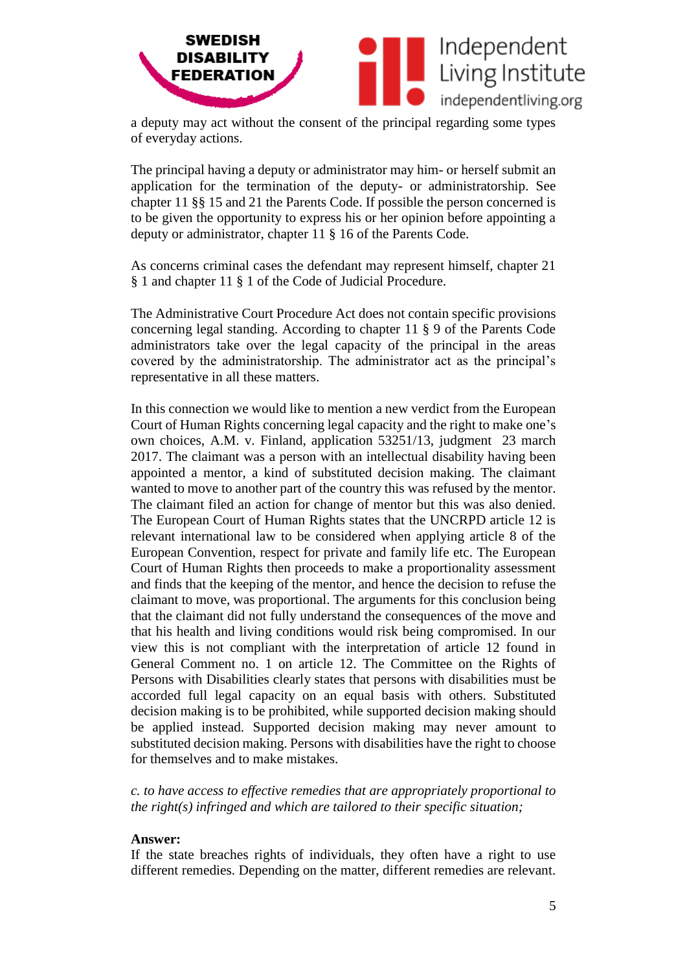

a deputy may act without the consent of the principal regarding some types of everyday actions.

The principal having a deputy or administrator may him- or herself submit an application for the termination of the deputy- or administratorship. See chapter 11 §§ 15 and 21 the Parents Code. If possible the person concerned is to be given the opportunity to express his or her opinion before appointing a deputy or administrator, chapter 11 § 16 of the Parents Code.

As concerns criminal cases the defendant may represent himself, chapter 21 § 1 and chapter 11 § 1 of the Code of Judicial Procedure.

The Administrative Court Procedure Act does not contain specific provisions concerning legal standing. According to chapter 11 § 9 of the Parents Code administrators take over the legal capacity of the principal in the areas covered by the administratorship. The administrator act as the principal's representative in all these matters.

In this connection we would like to mention a new verdict from the European Court of Human Rights concerning legal capacity and the right to make one's own choices, A.M. v. Finland, application 53251/13, judgment 23 march 2017. The claimant was a person with an intellectual disability having been appointed a mentor, a kind of substituted decision making. The claimant wanted to move to another part of the country this was refused by the mentor. The claimant filed an action for change of mentor but this was also denied. The European Court of Human Rights states that the UNCRPD article 12 is relevant international law to be considered when applying article 8 of the European Convention, respect for private and family life etc. The European Court of Human Rights then proceeds to make a proportionality assessment and finds that the keeping of the mentor, and hence the decision to refuse the claimant to move, was proportional. The arguments for this conclusion being that the claimant did not fully understand the consequences of the move and that his health and living conditions would risk being compromised. In our view this is not compliant with the interpretation of article 12 found in General Comment no. 1 on article 12. The Committee on the Rights of Persons with Disabilities clearly states that persons with disabilities must be accorded full legal capacity on an equal basis with others. Substituted decision making is to be prohibited, while supported decision making should be applied instead. Supported decision making may never amount to substituted decision making. Persons with disabilities have the right to choose for themselves and to make mistakes.

*c. to have access to effective remedies that are appropriately proportional to the right(s) infringed and which are tailored to their specific situation;* 

#### **Answer:**

If the state breaches rights of individuals, they often have a right to use different remedies. Depending on the matter, different remedies are relevant.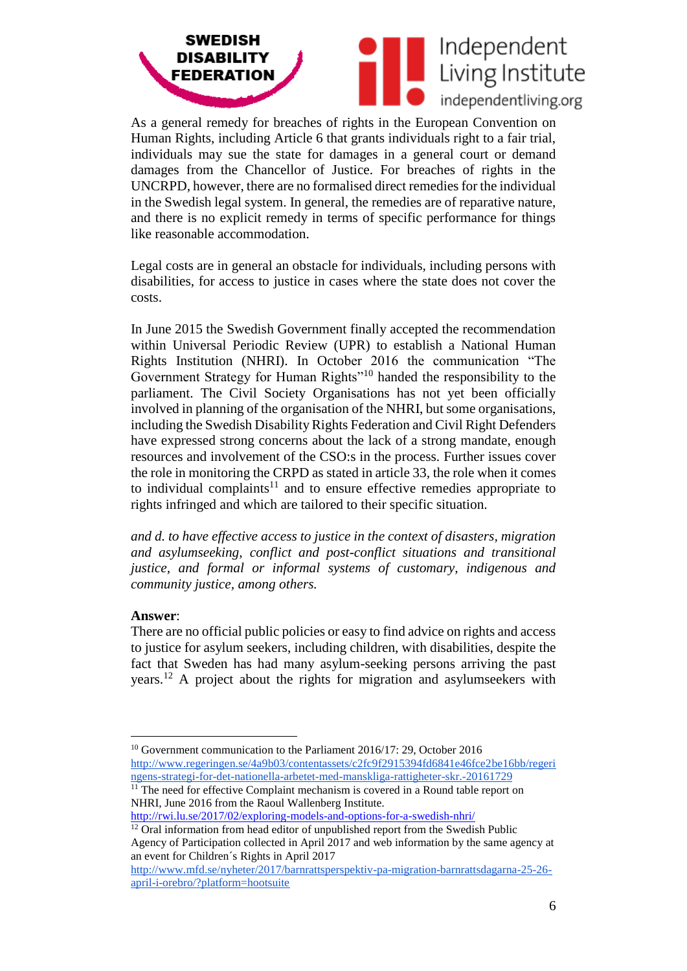



As a general remedy for breaches of rights in the European Convention on Human Rights, including Article 6 that grants individuals right to a fair trial, individuals may sue the state for damages in a general court or demand damages from the Chancellor of Justice. For breaches of rights in the UNCRPD, however, there are no formalised direct remedies for the individual in the Swedish legal system. In general, the remedies are of reparative nature, and there is no explicit remedy in terms of specific performance for things like reasonable accommodation.

Legal costs are in general an obstacle for individuals, including persons with disabilities, for access to justice in cases where the state does not cover the costs.

In June 2015 the Swedish Government finally accepted the recommendation within Universal Periodic Review (UPR) to establish a National Human Rights Institution (NHRI). In October 2016 the communication "The Government Strategy for Human Rights"<sup>10</sup> handed the responsibility to the parliament. The Civil Society Organisations has not yet been officially involved in planning of the organisation of the NHRI, but some organisations, including the Swedish Disability Rights Federation and Civil Right Defenders have expressed strong concerns about the lack of a strong mandate, enough resources and involvement of the CSO:s in the process. Further issues cover the role in monitoring the CRPD as stated in article 33, the role when it comes to individual complaints $11$  and to ensure effective remedies appropriate to rights infringed and which are tailored to their specific situation.

*and d. to have effective access to justice in the context of disasters, migration and asylumseeking, conflict and post-conflict situations and transitional justice, and formal or informal systems of customary, indigenous and community justice, among others.* 

### **Answer**:

There are no official public policies or easy to find advice on rights and access to justice for asylum seekers, including children, with disabilities, despite the fact that Sweden has had many asylum-seeking persons arriving the past years. <sup>12</sup> A project about the rights for migration and asylumseekers with

<http://rwi.lu.se/2017/02/exploring-models-and-options-for-a-swedish-nhri/>

 $\overline{a}$ <sup>10</sup> Government communication to the Parliament 2016/17: 29, October 2016 [http://www.regeringen.se/4a9b03/contentassets/c2fc9f2915394fd6841e46fce2be16bb/regeri](http://www.regeringen.se/4a9b03/contentassets/c2fc9f2915394fd6841e46fce2be16bb/regeringens-strategi-for-det-nationella-arbetet-med-manskliga-rattigheter-skr.-20161729) [ngens-strategi-for-det-nationella-arbetet-med-manskliga-rattigheter-skr.-20161729](http://www.regeringen.se/4a9b03/contentassets/c2fc9f2915394fd6841e46fce2be16bb/regeringens-strategi-for-det-nationella-arbetet-med-manskliga-rattigheter-skr.-20161729)

<sup>&</sup>lt;sup>11</sup> The need for effective Complaint mechanism is covered in a Round table report on NHRI, June 2016 from the Raoul Wallenberg Institute.

 $12$  Oral information from head editor of unpublished report from the Swedish Public Agency of Participation collected in April 2017 and web information by the same agency at an event for Children´s Rights in April 2017

[http://www.mfd.se/nyheter/2017/barnrattsperspektiv-pa-migration-barnrattsdagarna-25-26](http://www.mfd.se/nyheter/2017/barnrattsperspektiv-pa-migration-barnrattsdagarna-25-26-april-i-orebro/?platform=hootsuite) [april-i-orebro/?platform=hootsuite](http://www.mfd.se/nyheter/2017/barnrattsperspektiv-pa-migration-barnrattsdagarna-25-26-april-i-orebro/?platform=hootsuite)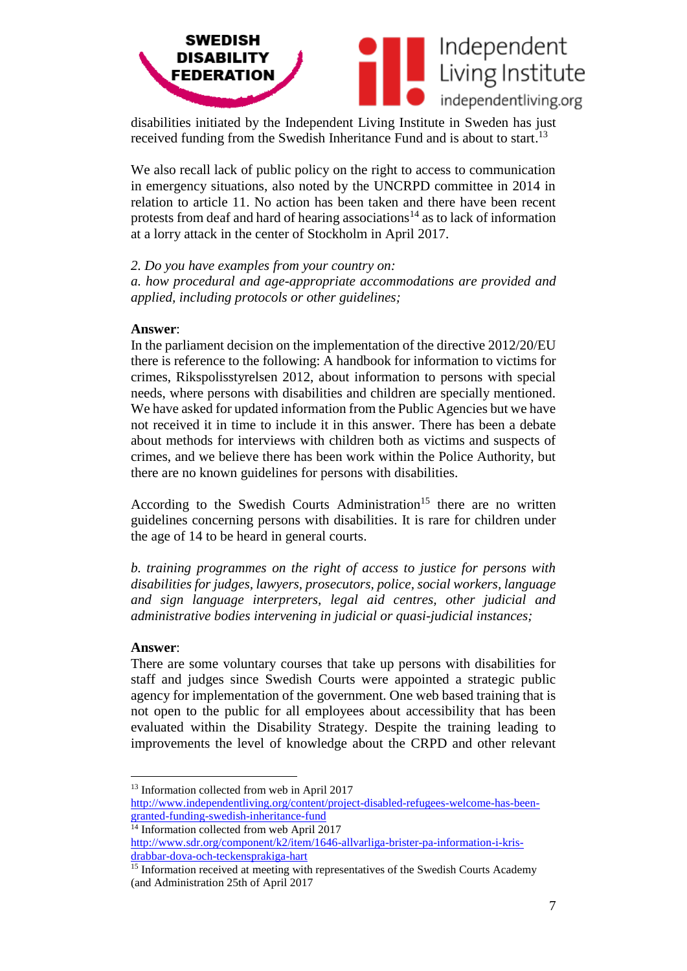

disabilities initiated by the Independent Living Institute in Sweden has just received funding from the Swedish Inheritance Fund and is about to start.<sup>13</sup>

We also recall lack of public policy on the right to access to communication in emergency situations, also noted by the UNCRPD committee in 2014 in relation to article 11. No action has been taken and there have been recent protests from deaf and hard of hearing associations<sup>14</sup> as to lack of information at a lorry attack in the center of Stockholm in April 2017.

*2. Do you have examples from your country on:* 

*a. how procedural and age-appropriate accommodations are provided and applied, including protocols or other guidelines;* 

### **Answer**:

In the parliament decision on the implementation of the directive 2012/20/EU there is reference to the following: A handbook for information to victims for crimes, Rikspolisstyrelsen 2012, about information to persons with special needs, where persons with disabilities and children are specially mentioned. We have asked for updated information from the Public Agencies but we have not received it in time to include it in this answer. There has been a debate about methods for interviews with children both as victims and suspects of crimes, and we believe there has been work within the Police Authority, but there are no known guidelines for persons with disabilities.

According to the Swedish Courts Administration<sup>15</sup> there are no written guidelines concerning persons with disabilities. It is rare for children under the age of 14 to be heard in general courts.

*b. training programmes on the right of access to justice for persons with disabilities for judges, lawyers, prosecutors, police, social workers, language and sign language interpreters, legal aid centres, other judicial and administrative bodies intervening in judicial or quasi-judicial instances;* 

### **Answer**:

 $\overline{a}$ 

There are some voluntary courses that take up persons with disabilities for staff and judges since Swedish Courts were appointed a strategic public agency for implementation of the government. One web based training that is not open to the public for all employees about accessibility that has been evaluated within the Disability Strategy. Despite the training leading to improvements the level of knowledge about the CRPD and other relevant

<sup>&</sup>lt;sup>13</sup> Information collected from web in April 2017

[http://www.independentliving.org/content/project-disabled-refugees-welcome-has-been](http://www.independentliving.org/content/project-disabled-refugees-welcome-has-been-granted-funding-swedish-inheritance-fund)[granted-funding-swedish-inheritance-fund](http://www.independentliving.org/content/project-disabled-refugees-welcome-has-been-granted-funding-swedish-inheritance-fund)

<sup>&</sup>lt;sup>14</sup> Information collected from web April 2017

[http://www.sdr.org/component/k2/item/1646-allvarliga-brister-pa-information-i-kris](http://www.sdr.org/component/k2/item/1646-allvarliga-brister-pa-information-i-kris-drabbar-dova-och-teckensprakiga-hart)[drabbar-dova-och-teckensprakiga-hart](http://www.sdr.org/component/k2/item/1646-allvarliga-brister-pa-information-i-kris-drabbar-dova-och-teckensprakiga-hart)

<sup>&</sup>lt;sup>15</sup> Information received at meeting with representatives of the Swedish Courts Academy (and Administration 25th of April 2017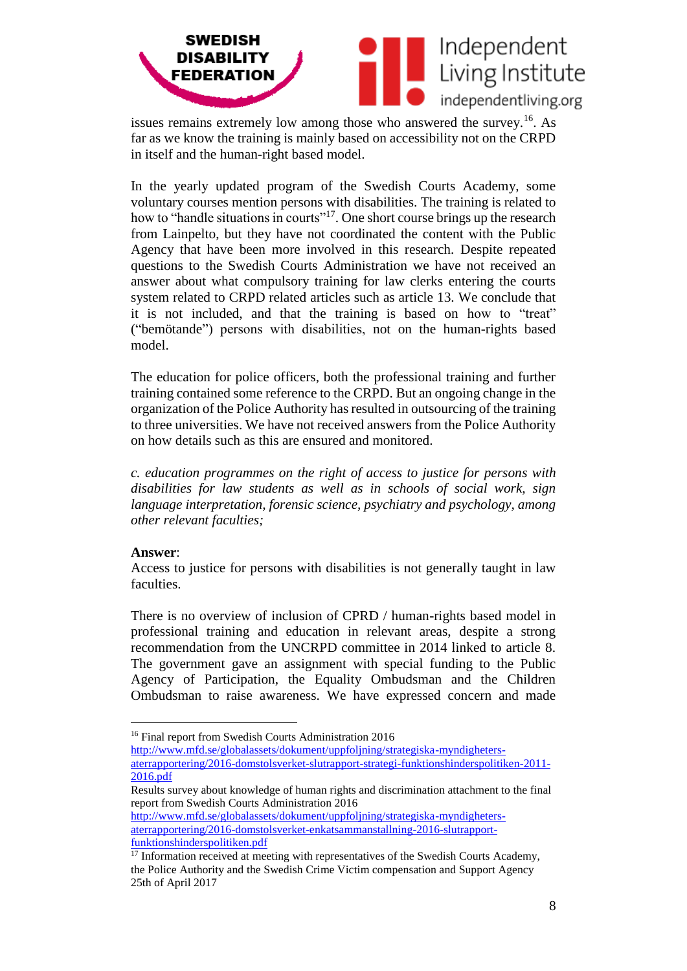

issues remains extremely low among those who answered the survey.<sup>16</sup> As far as we know the training is mainly based on accessibility not on the CRPD in itself and the human-right based model.

In the yearly updated program of the Swedish Courts Academy, some voluntary courses mention persons with disabilities. The training is related to how to "handle situations in courts"<sup>17</sup>. One short course brings up the research from Lainpelto, but they have not coordinated the content with the Public Agency that have been more involved in this research. Despite repeated questions to the Swedish Courts Administration we have not received an answer about what compulsory training for law clerks entering the courts system related to CRPD related articles such as article 13. We conclude that it is not included, and that the training is based on how to "treat" ("bemötande") persons with disabilities, not on the human-rights based model.

The education for police officers, both the professional training and further training contained some reference to the CRPD. But an ongoing change in the organization of the Police Authority has resulted in outsourcing of the training to three universities. We have not received answers from the Police Authority on how details such as this are ensured and monitored.

*c. education programmes on the right of access to justice for persons with disabilities for law students as well as in schools of social work, sign language interpretation, forensic science, psychiatry and psychology, among other relevant faculties;* 

### **Answer**:

Access to justice for persons with disabilities is not generally taught in law faculties.

There is no overview of inclusion of CPRD / human-rights based model in professional training and education in relevant areas, despite a strong recommendation from the UNCRPD committee in 2014 linked to article 8. The government gave an assignment with special funding to the Public Agency of Participation, the Equality Ombudsman and the Children Ombudsman to raise awareness. We have expressed concern and made

[http://www.mfd.se/globalassets/dokument/uppfoljning/strategiska-myndigheters](http://www.mfd.se/globalassets/dokument/uppfoljning/strategiska-myndigheters-aterrapportering/2016-domstolsverket-slutrapport-strategi-funktionshinderspolitiken-2011-2016.pdf)[aterrapportering/2016-domstolsverket-slutrapport-strategi-funktionshinderspolitiken-2011-](http://www.mfd.se/globalassets/dokument/uppfoljning/strategiska-myndigheters-aterrapportering/2016-domstolsverket-slutrapport-strategi-funktionshinderspolitiken-2011-2016.pdf)

[2016.pdf](http://www.mfd.se/globalassets/dokument/uppfoljning/strategiska-myndigheters-aterrapportering/2016-domstolsverket-slutrapport-strategi-funktionshinderspolitiken-2011-2016.pdf)

 $\overline{a}$ 

Results survey about knowledge of human rights and discrimination attachment to the final report from Swedish Courts Administration 2016

[http://www.mfd.se/globalassets/dokument/uppfoljning/strategiska-myndigheters](http://www.mfd.se/globalassets/dokument/uppfoljning/strategiska-myndigheters-aterrapportering/2016-domstolsverket-enkatsammanstallning-2016-slutrapport-funktionshinderspolitiken.pdf)[aterrapportering/2016-domstolsverket-enkatsammanstallning-2016-slutrapport](http://www.mfd.se/globalassets/dokument/uppfoljning/strategiska-myndigheters-aterrapportering/2016-domstolsverket-enkatsammanstallning-2016-slutrapport-funktionshinderspolitiken.pdf)[funktionshinderspolitiken.pdf](http://www.mfd.se/globalassets/dokument/uppfoljning/strategiska-myndigheters-aterrapportering/2016-domstolsverket-enkatsammanstallning-2016-slutrapport-funktionshinderspolitiken.pdf)

<sup>16</sup> Final report from Swedish Courts Administration 2016

<sup>&</sup>lt;sup>17</sup> Information received at meeting with representatives of the Swedish Courts Academy, the Police Authority and the Swedish Crime Victim compensation and Support Agency 25th of April 2017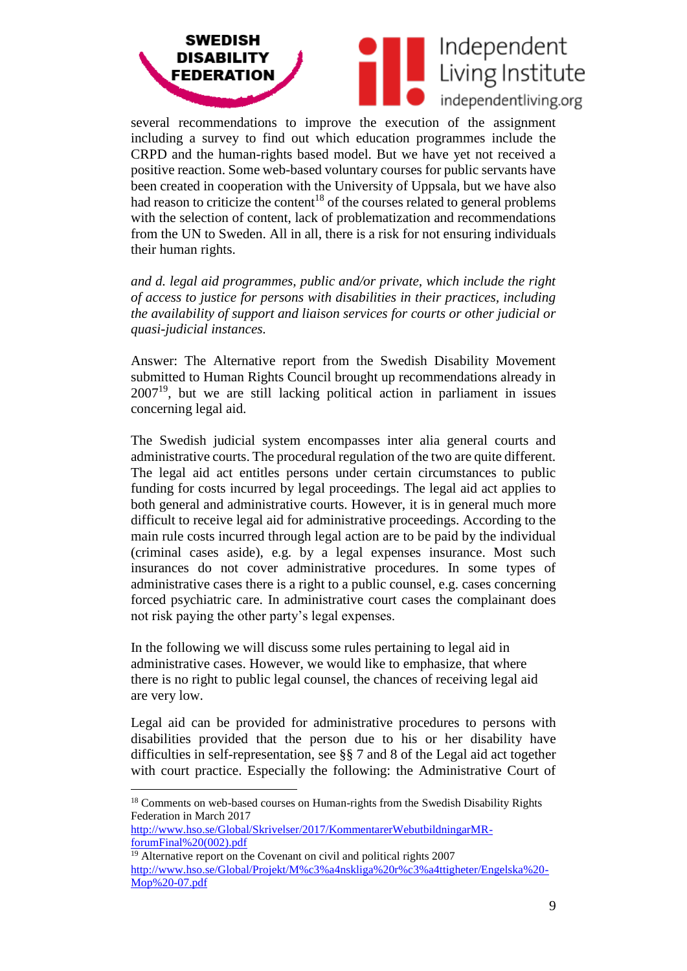

several recommendations to improve the execution of the assignment including a survey to find out which education programmes include the CRPD and the human-rights based model. But we have yet not received a positive reaction. Some web-based voluntary courses for public servants have been created in cooperation with the University of Uppsala, but we have also had reason to criticize the content<sup>18</sup> of the courses related to general problems with the selection of content, lack of problematization and recommendations from the UN to Sweden. All in all, there is a risk for not ensuring individuals their human rights.

*and d. legal aid programmes, public and/or private, which include the right of access to justice for persons with disabilities in their practices, including the availability of support and liaison services for courts or other judicial or quasi-judicial instances.*

Answer: The Alternative report from the Swedish Disability Movement submitted to Human Rights Council brought up recommendations already in  $2007<sup>19</sup>$ , but we are still lacking political action in parliament in issues concerning legal aid.

The Swedish judicial system encompasses inter alia general courts and administrative courts. The procedural regulation of the two are quite different. The legal aid act entitles persons under certain circumstances to public funding for costs incurred by legal proceedings. The legal aid act applies to both general and administrative courts. However, it is in general much more difficult to receive legal aid for administrative proceedings. According to the main rule costs incurred through legal action are to be paid by the individual (criminal cases aside), e.g. by a legal expenses insurance. Most such insurances do not cover administrative procedures. In some types of administrative cases there is a right to a public counsel, e.g. cases concerning forced psychiatric care. In administrative court cases the complainant does not risk paying the other party's legal expenses.

In the following we will discuss some rules pertaining to legal aid in administrative cases. However, we would like to emphasize, that where there is no right to public legal counsel, the chances of receiving legal aid are very low.

Legal aid can be provided for administrative procedures to persons with disabilities provided that the person due to his or her disability have difficulties in self-representation, see §§ 7 and 8 of the Legal aid act together with court practice. Especially the following: the Administrative Court of

 $\overline{a}$ 

<sup>&</sup>lt;sup>18</sup> Comments on web-based courses on Human-rights from the Swedish Disability Rights Federation in March 2017

[http://www.hso.se/Global/Skrivelser/2017/KommentarerWebutbildningarMR](http://www.hso.se/Global/Skrivelser/2017/KommentarerWebutbildningarMR-forumFinal%20(002).pdf)[forumFinal%20\(002\).pdf](http://www.hso.se/Global/Skrivelser/2017/KommentarerWebutbildningarMR-forumFinal%20(002).pdf)

<sup>&</sup>lt;sup>19</sup> Alternative report on the Covenant on civil and political rights 2007 [http://www.hso.se/Global/Projekt/M%c3%a4nskliga%20r%c3%a4ttigheter/Engelska%20-](http://www.hso.se/Global/Projekt/M%c3%a4nskliga%20r%c3%a4ttigheter/Engelska%20-Mop%20-07.pdf) [Mop%20-07.pdf](http://www.hso.se/Global/Projekt/M%c3%a4nskliga%20r%c3%a4ttigheter/Engelska%20-Mop%20-07.pdf)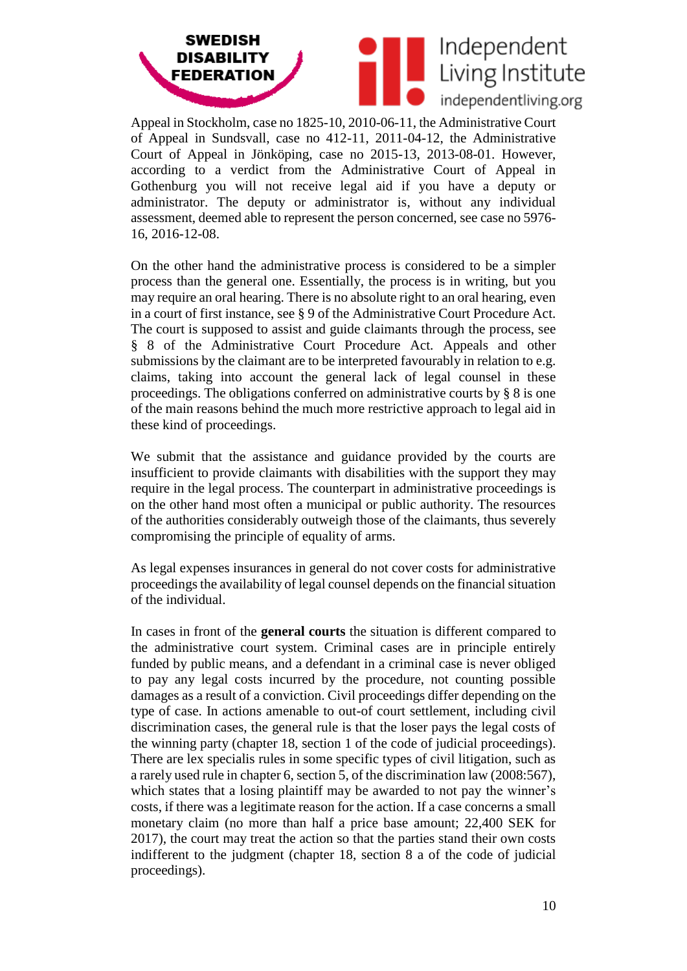



Appeal in Stockholm, case no 1825-10, 2010-06-11, the Administrative Court of Appeal in Sundsvall, case no 412-11, 2011-04-12, the Administrative Court of Appeal in Jönköping, case no 2015-13, 2013-08-01. However, according to a verdict from the Administrative Court of Appeal in Gothenburg you will not receive legal aid if you have a deputy or administrator. The deputy or administrator is, without any individual assessment, deemed able to represent the person concerned, see case no 5976- 16, 2016-12-08.

On the other hand the administrative process is considered to be a simpler process than the general one. Essentially, the process is in writing, but you may require an oral hearing. There is no absolute right to an oral hearing, even in a court of first instance, see § 9 of the Administrative Court Procedure Act. The court is supposed to assist and guide claimants through the process, see § 8 of the Administrative Court Procedure Act. Appeals and other submissions by the claimant are to be interpreted favourably in relation to e.g. claims, taking into account the general lack of legal counsel in these proceedings. The obligations conferred on administrative courts by § 8 is one of the main reasons behind the much more restrictive approach to legal aid in these kind of proceedings.

We submit that the assistance and guidance provided by the courts are insufficient to provide claimants with disabilities with the support they may require in the legal process. The counterpart in administrative proceedings is on the other hand most often a municipal or public authority. The resources of the authorities considerably outweigh those of the claimants, thus severely compromising the principle of equality of arms.

As legal expenses insurances in general do not cover costs for administrative proceedings the availability of legal counsel depends on the financial situation of the individual.

In cases in front of the **general courts** the situation is different compared to the administrative court system. Criminal cases are in principle entirely funded by public means, and a defendant in a criminal case is never obliged to pay any legal costs incurred by the procedure, not counting possible damages as a result of a conviction. Civil proceedings differ depending on the type of case. In actions amenable to out-of court settlement, including civil discrimination cases, the general rule is that the loser pays the legal costs of the winning party (chapter 18, section 1 of the code of judicial proceedings). There are lex specialis rules in some specific types of civil litigation, such as a rarely used rule in chapter 6, section 5, of the discrimination law (2008:567), which states that a losing plaintiff may be awarded to not pay the winner's costs, if there was a legitimate reason for the action. If a case concerns a small monetary claim (no more than half a price base amount; 22,400 SEK for 2017), the court may treat the action so that the parties stand their own costs indifferent to the judgment (chapter 18, section 8 a of the code of judicial proceedings).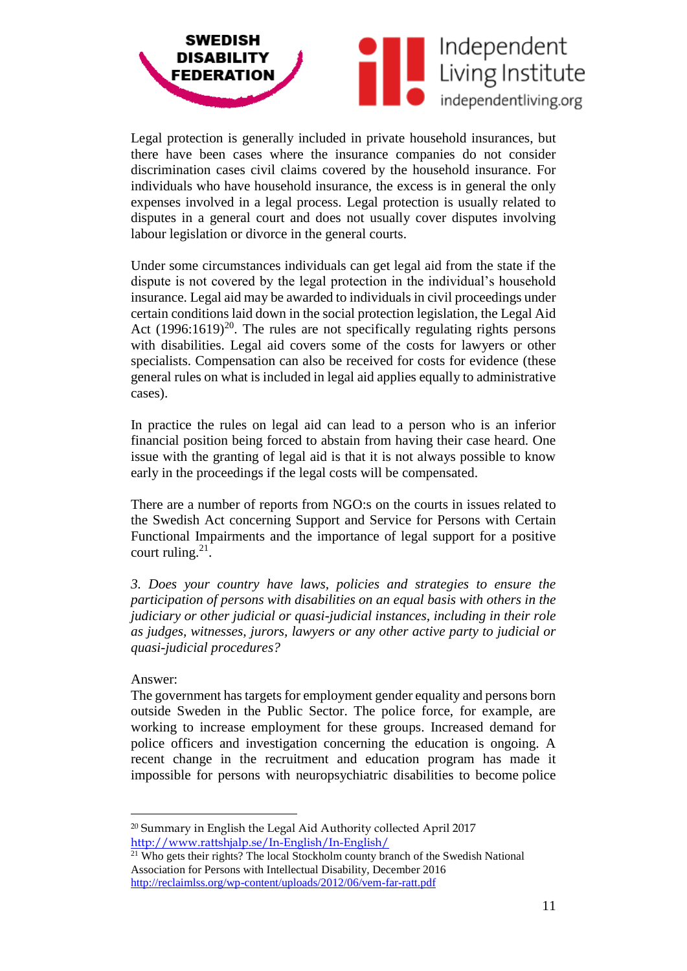

Legal protection is generally included in private household insurances, but there have been cases where the insurance companies do not consider discrimination cases civil claims covered by the household insurance. For individuals who have household insurance, the excess is in general the only expenses involved in a legal process. Legal protection is usually related to disputes in a general court and does not usually cover disputes involving labour legislation or divorce in the general courts.

Under some circumstances individuals can get legal aid from the state if the dispute is not covered by the legal protection in the individual's household insurance. Legal aid may be awarded to individuals in civil proceedings under certain conditions laid down in the social protection legislation, the Legal Aid Act  $(1996:1619)^{20}$ . The rules are not specifically regulating rights persons with disabilities. Legal aid covers some of the costs for lawyers or other specialists. Compensation can also be received for costs for evidence (these general rules on what is included in legal aid applies equally to administrative cases).

In practice the rules on legal aid can lead to a person who is an inferior financial position being forced to abstain from having their case heard. One issue with the granting of legal aid is that it is not always possible to know early in the proceedings if the legal costs will be compensated.

There are a number of reports from NGO:s on the courts in issues related to the Swedish Act concerning Support and Service for Persons with Certain Functional Impairments and the importance of legal support for a positive court ruling. $21$ .

*3. Does your country have laws, policies and strategies to ensure the participation of persons with disabilities on an equal basis with others in the judiciary or other judicial or quasi-judicial instances, including in their role as judges, witnesses, jurors, lawyers or any other active party to judicial or quasi-judicial procedures?* 

### Answer:

 $\overline{a}$ 

The government has targets for employment gender equality and persons born outside Sweden in the Public Sector. The police force, for example, are working to increase employment for these groups. Increased demand for police officers and investigation concerning the education is ongoing. A recent change in the recruitment and education program has made it impossible for persons with neuropsychiatric disabilities to become police

<sup>20</sup> Summary in English the Legal Aid Authority collected April 2017 <http://www.rattshjalp.se/In-English/In-English/>

<sup>&</sup>lt;sup>21</sup> Who gets their rights? The local Stockholm county branch of the Swedish National Association for Persons with Intellectual Disability, December 2016 <http://reclaimlss.org/wp-content/uploads/2012/06/vem-far-ratt.pdf>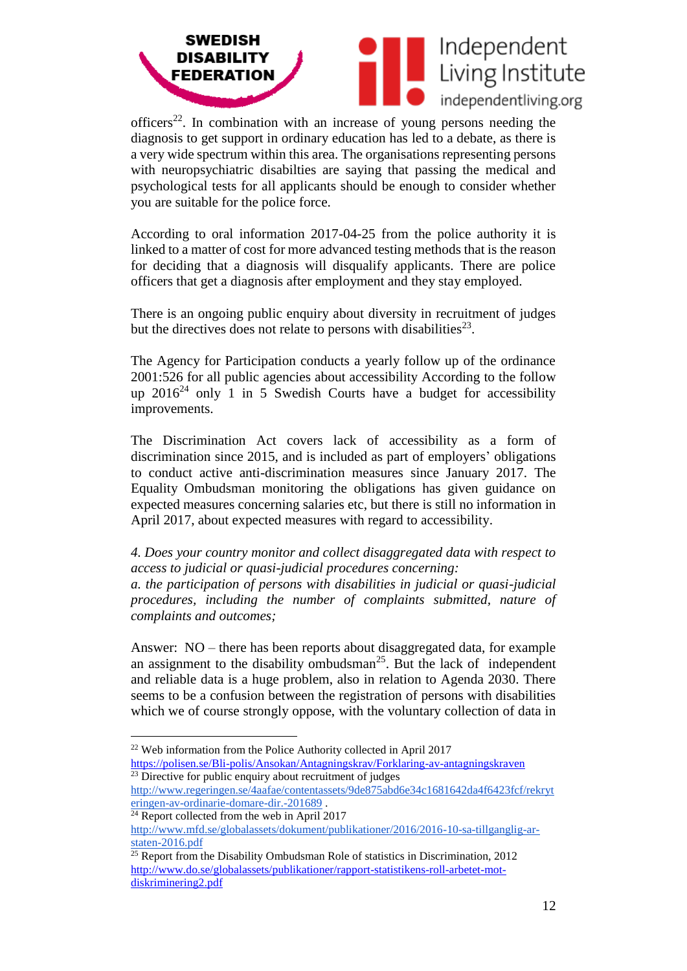



officers<sup>22</sup>. In combination with an increase of young persons needing the diagnosis to get support in ordinary education has led to a debate, as there is a very wide spectrum within this area. The organisations representing persons with neuropsychiatric disabilties are saying that passing the medical and psychological tests for all applicants should be enough to consider whether you are suitable for the police force.

According to oral information 2017-04-25 from the police authority it is linked to a matter of cost for more advanced testing methods that is the reason for deciding that a diagnosis will disqualify applicants. There are police officers that get a diagnosis after employment and they stay employed.

There is an ongoing public enquiry about diversity in recruitment of judges but the directives does not relate to persons with disabilities<sup>23</sup>.

The Agency for Participation conducts a yearly follow up of the ordinance 2001:526 for all public agencies about accessibility According to the follow up  $2016^{24}$  only 1 in 5 Swedish Courts have a budget for accessibility improvements.

The Discrimination Act covers lack of accessibility as a form of discrimination since 2015, and is included as part of employers' obligations to conduct active anti-discrimination measures since January 2017. The Equality Ombudsman monitoring the obligations has given guidance on expected measures concerning salaries etc, but there is still no information in April 2017, about expected measures with regard to accessibility.

*4. Does your country monitor and collect disaggregated data with respect to access to judicial or quasi-judicial procedures concerning:* 

*a. the participation of persons with disabilities in judicial or quasi-judicial procedures, including the number of complaints submitted, nature of complaints and outcomes;* 

Answer: NO – there has been reports about disaggregated data, for example an assignment to the disability ombudsman<sup>25</sup>. But the lack of independent and reliable data is a huge problem, also in relation to Agenda 2030. There seems to be a confusion between the registration of persons with disabilities which we of course strongly oppose, with the voluntary collection of data in

 $\overline{a}$  $22$  Web information from the Police Authority collected in April 2017

<https://polisen.se/Bli-polis/Ansokan/Antagningskrav/Forklaring-av-antagningskraven> <sup>23</sup> Directive for public enquiry about recruitment of judges

[http://www.regeringen.se/4aafae/contentassets/9de875abd6e34c1681642da4f6423fcf/rekryt](http://www.regeringen.se/4aafae/contentassets/9de875abd6e34c1681642da4f6423fcf/rekryteringen-av-ordinarie-domare-dir.-201689) [eringen-av-ordinarie-domare-dir.-201689](http://www.regeringen.se/4aafae/contentassets/9de875abd6e34c1681642da4f6423fcf/rekryteringen-av-ordinarie-domare-dir.-201689) .

 $24$  Report collected from the web in April 2017

[http://www.mfd.se/globalassets/dokument/publikationer/2016/2016-10-sa-tillganglig-ar](http://www.mfd.se/globalassets/dokument/publikationer/2016/2016-10-sa-tillganglig-ar-staten-2016.pdf)[staten-2016.pdf](http://www.mfd.se/globalassets/dokument/publikationer/2016/2016-10-sa-tillganglig-ar-staten-2016.pdf)

<sup>&</sup>lt;sup>25</sup> Report from the Disability Ombudsman Role of statistics in Discrimination, 2012 [http://www.do.se/globalassets/publikationer/rapport-statistikens-roll-arbetet-mot](http://www.do.se/globalassets/publikationer/rapport-statistikens-roll-arbetet-mot-diskriminering2.pdf)[diskriminering2.pdf](http://www.do.se/globalassets/publikationer/rapport-statistikens-roll-arbetet-mot-diskriminering2.pdf)